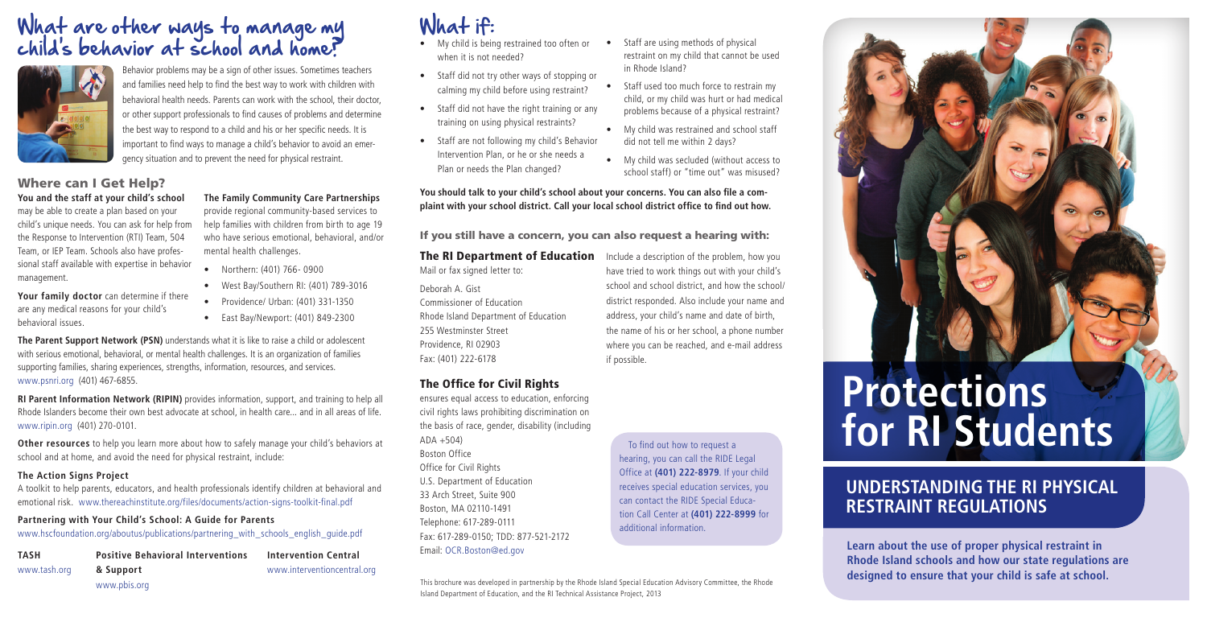## What if:

- My child is being restrained too often or when it is not needed?
- Staff did not try other ways of stopping or calming my child before using restraint?
- Staff did not have the right training or any training on using physical restraints?
- • Staff are not following my child's Behavior Intervention Plan, or he or she needs a Plan or needs the Plan changed?
- Staff are using methods of physical restraint on my child that cannot be used in Rhode Island?
- Staff used too much force to restrain my child, or my child was hurt or had medical problems because of a physical restraint?
- My child was restrained and school staff did not tell me within 2 days?
- • My child was secluded (without access to school staff) or "time out" was misused?

The RI Department of Education Include a description of the problem, how you have tried to work things out with your child's school and school district, and how the school/ district responded. Also include your name and address, your child's name and date of birth, the name of his or her school, a phone number where you can be reached, and e-mail address if possible.

**You should talk to your child's school about your concerns. You can also file a complaint with your school district. Call your local school district office to find out how.**

If you still have a concern, you can also request a hearing with:

Mail or fax signed letter to:

Deborah A. Gist Commissioner of Education Rhode Island Department of Education 255 Westminster Street Providence, RI 02903 Fax: (401) 222-6178

#### The Office for Civil Rights

ensures equal access to education, enforcing civil rights laws prohibiting discrimination on the basis of race, gender, disability (including  $ADA + 504$ Boston Office Office for Civil Rights U.S. Department of Education 33 Arch Street, Suite 900 Boston, MA 02110-1491 Telephone: 617-289-0111 Fax: 617-289-0150; TDD: 877-521-2172 Email: OCR.Boston@ed.gov

To find out how to request a hearing, you can call the RIDE Legal Office at **(401) 222-8979**. If your child receives special education services, you can contact the RIDE Special Education Call Center at **(401) 222-8999** for additional information.



## What are other ways to manage my child's behavior at school and home?



Behavior problems may be a sign of other issues. Sometimes teachers and families need help to find the best way to work with children with behavioral health needs. Parents can work with the school, their doctor, or other support professionals to find causes of problems and determine the best way to respond to a child and his or her specific needs. It is important to find ways to manage a child's behavior to avoid an emergency situation and to prevent the need for physical restraint.

#### Where can I Get Help? **You and the staff at your child's school**

may be able to create a plan based on your child's unique needs. You can ask for help from the Response to Intervention (RTI) Team, 504 Team, or IEP Team. Schools also have professional staff available with expertise in behavior management.

**Your family doctor** can determine if there are any medical reasons for your child's behavioral issues.

**The Family Community Care Partnerships** provide regional community-based services to

help families with children from birth to age 19 who have serious emotional, behavioral, and/or mental health challenges.

- • Northern: (401) 766- 0900
- • West Bay/Southern RI: (401) 789-3016
- • Providence/ Urban: (401) 331-1350
- • East Bay/Newport: (401) 849-2300

**The Parent Support Network (PSN)** understands what it is like to raise a child or adolescent with serious emotional, behavioral, or mental health challenges. It is an organization of families supporting families, sharing experiences, strengths, information, resources, and services. www.psnri.org (401) 467-6855.

**RI Parent Information Network (RIPIN)** provides information, support, and training to help all Rhode Islanders become their own best advocate at school, in health care... and in all areas of life. www.ripin.org (401) 270-0101.

**Other resources** to help you learn more about how to safely manage your child's behaviors at school and at home, and avoid the need for physical restraint, include:

#### **The Action Signs Project**

A toolkit to help parents, educators, and health professionals identify children at behavioral and emotional risk. www.thereachinstitute.org/files/documents/action-signs-toolkit-final.pdf

#### **Partnering with Your Child's School: A Guide for Parents**

www.hscfoundation.org/aboutus/publications/partnering\_with\_schools\_english\_guide.pdf

**TASH** www.tash.org **Positive Behavioral Interventions & Support** www.pbis.org

**Intervention Central** www.interventioncentral.org

This brochure was developed in partnership by the Rhode Island Special Education Advisory Committee, the Rhode Island Department of Education, and the RI Technical Assistance Project, 2013

**Learn about the use of proper physical restraint in Rhode Island schools and how our state regulations are designed to ensure that your child is safe at school.**

# **Protections for RI Students**

## **UNDERSTANDING THE RI PHYSICAL RESTRAINT REGULATIONS**